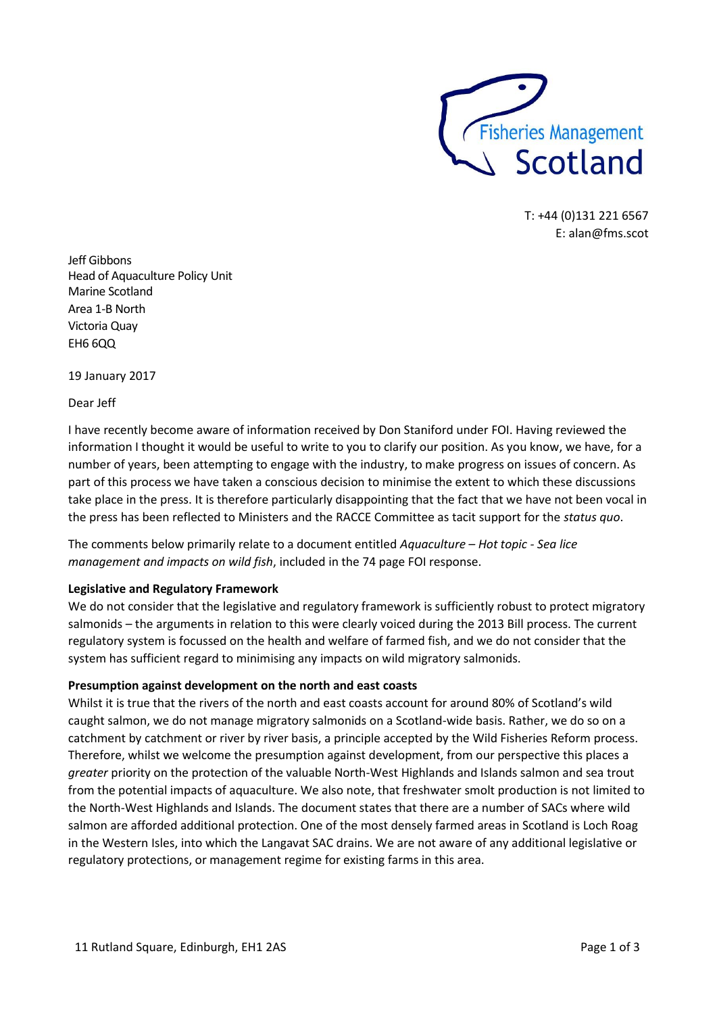

T: +44 (0)131 221 6567 E: alan@fms.scot

Jeff Gibbons Head of Aquaculture Policy Unit Marine Scotland Area 1-B North Victoria Quay EH6 6QQ

19 January 2017

Dear Jeff

I have recently become aware of information received by Don Staniford under FOI. Having reviewed the information I thought it would be useful to write to you to clarify our position. As you know, we have, for a number of years, been attempting to engage with the industry, to make progress on issues of concern. As part of this process we have taken a conscious decision to minimise the extent to which these discussions take place in the press. It is therefore particularly disappointing that the fact that we have not been vocal in the press has been reflected to Ministers and the RACCE Committee as tacit support for the *status quo*.

The comments below primarily relate to a document entitled *Aquaculture – Hot topic - Sea lice management and impacts on wild fish*, included in the 74 page FOI response.

### **Legislative and Regulatory Framework**

We do not consider that the legislative and regulatory framework is sufficiently robust to protect migratory salmonids – the arguments in relation to this were clearly voiced during the 2013 Bill process. The current regulatory system is focussed on the health and welfare of farmed fish, and we do not consider that the system has sufficient regard to minimising any impacts on wild migratory salmonids.

### **Presumption against development on the north and east coasts**

Whilst it is true that the rivers of the north and east coasts account for around 80% of Scotland's wild caught salmon, we do not manage migratory salmonids on a Scotland-wide basis. Rather, we do so on a catchment by catchment or river by river basis, a principle accepted by the Wild Fisheries Reform process. Therefore, whilst we welcome the presumption against development, from our perspective this places a *greater* priority on the protection of the valuable North-West Highlands and Islands salmon and sea trout from the potential impacts of aquaculture. We also note, that freshwater smolt production is not limited to the North-West Highlands and Islands. The document states that there are a number of SACs where wild salmon are afforded additional protection. One of the most densely farmed areas in Scotland is Loch Roag in the Western Isles, into which the Langavat SAC drains. We are not aware of any additional legislative or regulatory protections, or management regime for existing farms in this area.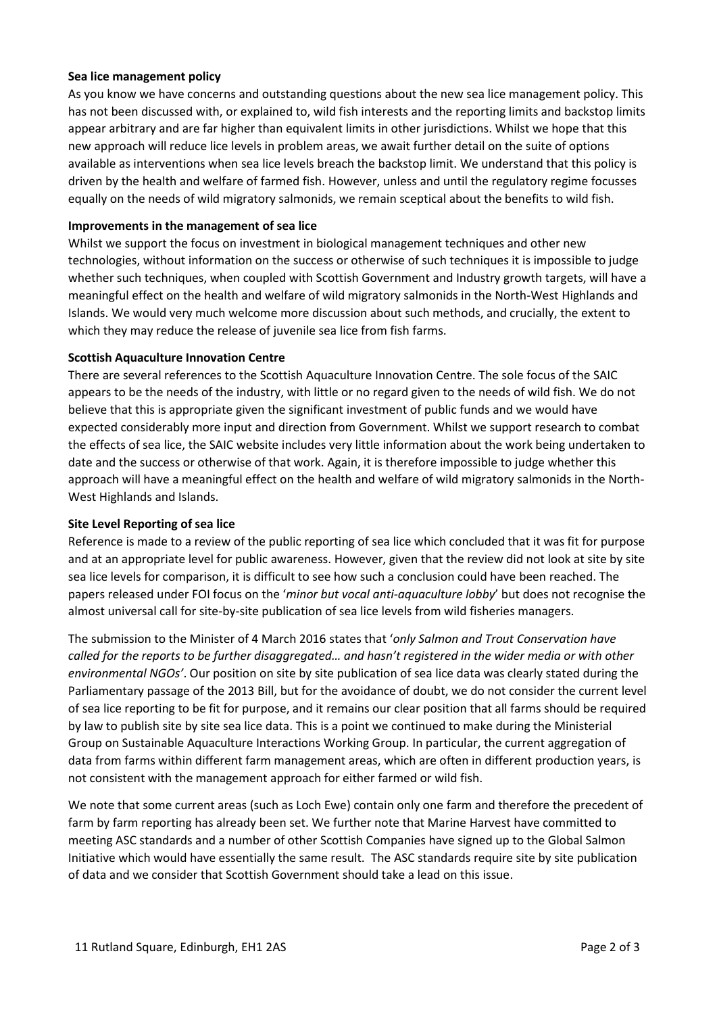### **Sea lice management policy**

As you know we have concerns and outstanding questions about the new sea lice management policy. This has not been discussed with, or explained to, wild fish interests and the reporting limits and backstop limits appear arbitrary and are far higher than equivalent limits in other jurisdictions. Whilst we hope that this new approach will reduce lice levels in problem areas, we await further detail on the suite of options available as interventions when sea lice levels breach the backstop limit. We understand that this policy is driven by the health and welfare of farmed fish. However, unless and until the regulatory regime focusses equally on the needs of wild migratory salmonids, we remain sceptical about the benefits to wild fish.

## **Improvements in the management of sea lice**

Whilst we support the focus on investment in biological management techniques and other new technologies, without information on the success or otherwise of such techniques it is impossible to judge whether such techniques, when coupled with Scottish Government and Industry growth targets, will have a meaningful effect on the health and welfare of wild migratory salmonids in the North-West Highlands and Islands. We would very much welcome more discussion about such methods, and crucially, the extent to which they may reduce the release of juvenile sea lice from fish farms.

## **Scottish Aquaculture Innovation Centre**

There are several references to the Scottish Aquaculture Innovation Centre. The sole focus of the SAIC appears to be the needs of the industry, with little or no regard given to the needs of wild fish. We do not believe that this is appropriate given the significant investment of public funds and we would have expected considerably more input and direction from Government. Whilst we support research to combat the effects of sea lice, the SAIC website includes very little information about the work being undertaken to date and the success or otherwise of that work. Again, it is therefore impossible to judge whether this approach will have a meaningful effect on the health and welfare of wild migratory salmonids in the North-West Highlands and Islands.

### **Site Level Reporting of sea lice**

Reference is made to a review of the public reporting of sea lice which concluded that it was fit for purpose and at an appropriate level for public awareness. However, given that the review did not look at site by site sea lice levels for comparison, it is difficult to see how such a conclusion could have been reached. The papers released under FOI focus on the '*minor but vocal anti-aquaculture lobby*' but does not recognise the almost universal call for site-by-site publication of sea lice levels from wild fisheries managers.

The submission to the Minister of 4 March 2016 states that '*only Salmon and Trout Conservation have called for the reports to be further disaggregated… and hasn't registered in the wider media or with other environmental NGOs'*. Our position on site by site publication of sea lice data was clearly stated during the Parliamentary passage of the 2013 Bill, but for the avoidance of doubt, we do not consider the current level of sea lice reporting to be fit for purpose, and it remains our clear position that all farms should be required by law to publish site by site sea lice data. This is a point we continued to make during the Ministerial Group on Sustainable Aquaculture Interactions Working Group. In particular, the current aggregation of data from farms within different farm management areas, which are often in different production years, is not consistent with the management approach for either farmed or wild fish.

We note that some current areas (such as Loch Ewe) contain only one farm and therefore the precedent of farm by farm reporting has already been set. We further note that Marine Harvest have committed to meeting ASC standards and a number of other Scottish Companies have signed up to the Global Salmon Initiative which would have essentially the same result. The ASC standards require site by site publication of data and we consider that Scottish Government should take a lead on this issue.